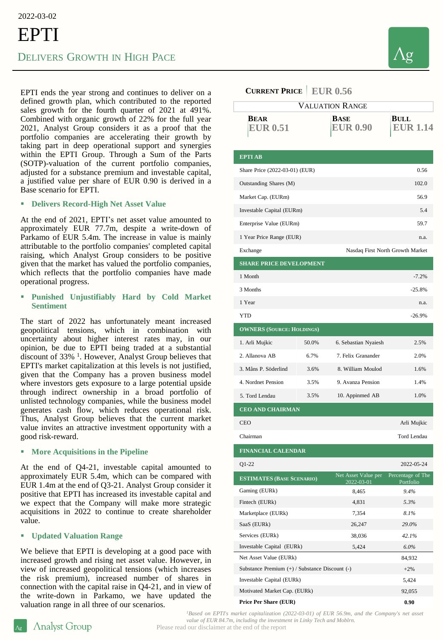2022-03-02

# EPTI DELIVERS GROWTH IN HIGH PACE

EPTI ends the year strong and continues to deliver on a defined growth plan, which contributed to the reported sales growth for the fourth quarter of 2021 at 491%. Combined with organic growth of 22% for the full year 2021, Analyst Group considers it as a proof that the portfolio companies are accelerating their growth by taking part in deep operational support and synergies within the EPTI Group. Through a Sum of the Parts (SOTP)-valuation of the current portfolio companies, adjusted for a substance premium and investable capital, a justified value per share of EUR 0.90 is derived in a Base scenario for EPTI.

#### ▪ **Delivers Record-High Net Asset Value**

At the end of 2021, EPTI's net asset value amounted to approximately EUR 77.7m, despite a write-down of Parkamo of EUR 5.4m. The increase in value is mainly attributable to the portfolio companies' completed capital raising, which Analyst Group considers to be positive given that the market has valued the portfolio companies, which reflects that the portfolio companies have made operational progress.

## ▪ **Punished Unjustifiably Hard by Cold Market Sentiment**

The start of 2022 has unfortunately meant increased geopolitical tensions, which in combination with uncertainty about higher interest rates may, in our opinion, be due to EPTI being traded at a substantial discount of 33%<sup>1</sup>. However, Analyst Group believes that EPTI's market capitalization at this levels is not justified, given that the Company has a proven business model where investors gets exposure to a large potential upside through indirect ownership in a broad portfolio of unlisted technology companies, while the business model generates cash flow, which reduces operational risk. Thus, Analyst Group believes that the current market value invites an attractive investment opportunity with a good risk-reward.

#### ▪ **More Acquisitions in the Pipeline**

At the end of Q4-21, investable capital amounted to approximately EUR 5.4m, which can be compared with EUR 1.4m at the end of Q3-21. Analyst Group consider it positive that EPTI has increased its investable capital and we expect that the Company will make more strategic acquisitions in 2022 to continue to create shareholder value.

## ▪ **Updated Valuation Range**

Analyst Group

We believe that EPTI is developing at a good pace with increased growth and rising net asset value. However, in view of increased geopolitical tensions (which increases the risk premium), increased number of shares in connection with the capital raise in Q4-21, and in view of the write-down in Parkamo, we have updated the valuation range in all three of our scenarios.

| <b>CURRENT PRICE   EUR 0.56</b>                |       |                                   |                                |
|------------------------------------------------|-------|-----------------------------------|--------------------------------|
| <b>VALUATION RANGE</b>                         |       |                                   |                                |
| <b>BEAR</b><br><b>EUR 0.51</b>                 |       | BASE<br><b>EUR 0.90</b>           | BULL<br><b>EUR 1.14</b>        |
| <b>EPTIAB</b>                                  |       |                                   |                                |
| Share Price (2022-03-01) (EUR)                 |       |                                   | 0.56                           |
| Outstanding Shares (M)                         |       |                                   | 102.0                          |
| Market Cap. (EURm)                             |       |                                   | 56.9                           |
| Investable Capital (EURm)                      |       |                                   | 5.4                            |
| Enterprise Value (EURm)                        |       |                                   | 59.7                           |
| 1 Year Price Range (EUR)                       |       |                                   | n.a.                           |
| Exchange                                       |       | Nasdaq First North Growth Market  |                                |
| <b>SHARE PRICE DEVELOPMENT</b>                 |       |                                   |                                |
| 1 Month                                        |       |                                   | $-7.2%$                        |
| 3 Months                                       |       |                                   | $-25.8%$                       |
| 1 Year                                         |       |                                   | n.a.                           |
| <b>YTD</b>                                     |       |                                   | $-26.9%$                       |
| <b>OWNERS (SOURCE: HOLDINGS)</b>               |       |                                   |                                |
| 1. Arli Mujkic                                 | 50.0% | 6. Sebastian Nyaiesh              | 2.5%                           |
| 2. Allanova AB                                 | 6.7%  | 7. Felix Granander                | 2.0%                           |
| 3. Måns P. Söderlind                           | 3.6%  | 8. William Moulod                 | 1.6%                           |
| 4. Nordnet Pension                             | 3.5%  | 9. Avanza Pension                 | 1.4%                           |
| 5. Tord Lendau                                 | 3.5%  | 10. Appinmed AB                   | 1.0%                           |
|                                                |       |                                   |                                |
| <b>CEO AND CHAIRMAN</b>                        |       |                                   |                                |
| <b>CEO</b>                                     |       |                                   | Arli Mujkic                    |
| Chairman                                       |       |                                   | Tord Lendau                    |
| <b>FINANCIAL CALENDAR</b>                      |       |                                   |                                |
| $Q1-22$                                        |       |                                   | 2022-05-24                     |
| <b>ESTIMATES (BASE SCENARIO)</b>               |       | Net Asset Value per<br>2022-03-01 | Percentage of The<br>Portfolio |
| Gaming (EURk)                                  |       | 8,465                             | 9.4%                           |
| Fintech (EURk)                                 |       | 4,831                             | 5.3%                           |
| Marketplace (EURk)                             |       | 7,354                             | 8.1%                           |
| SaaS (EURk)<br>Services (EURk)                 |       | 26,247<br>38,036                  | 29.0%<br>42.1%                 |
| Investable Capital (EURk)                      |       | 5,424                             | $6.0\%$                        |
| Net Asset Value (EURk)                         |       | 84,932                            |                                |
| Substance Premium (+) / Substance Discount (-) |       |                                   | $+2\%$                         |
| Investable Capital (EURk)                      |       |                                   | 5,424                          |
| Motivated Market Cap. (EURk)                   |       |                                   | 92,055                         |

**Price Per Share (EUR) 0.90**

*<sup>1</sup>Based on EPTI's market capitalization (2022-03-01) of EUR 56.9m, and the Company's net asset value of EUR 84.7m, including the investment in Linky Tech and Moblrn.*